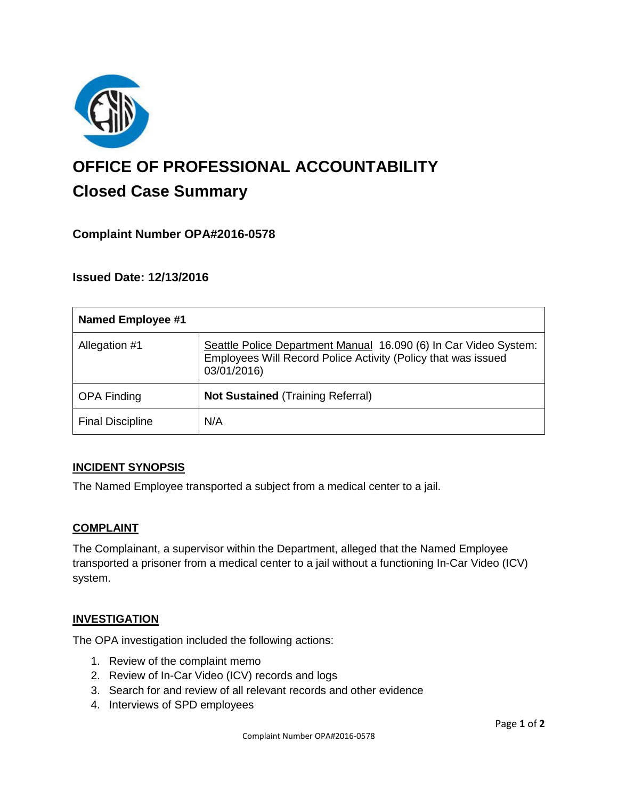

# **OFFICE OF PROFESSIONAL ACCOUNTABILITY Closed Case Summary**

## **Complaint Number OPA#2016-0578**

## **Issued Date: 12/13/2016**

| <b>Named Employee #1</b> |                                                                                                                                                  |
|--------------------------|--------------------------------------------------------------------------------------------------------------------------------------------------|
| Allegation #1            | Seattle Police Department Manual 16.090 (6) In Car Video System:<br>Employees Will Record Police Activity (Policy that was issued<br>03/01/2016) |
| <b>OPA Finding</b>       | <b>Not Sustained (Training Referral)</b>                                                                                                         |
| <b>Final Discipline</b>  | N/A                                                                                                                                              |

### **INCIDENT SYNOPSIS**

The Named Employee transported a subject from a medical center to a jail.

### **COMPLAINT**

The Complainant, a supervisor within the Department, alleged that the Named Employee transported a prisoner from a medical center to a jail without a functioning In-Car Video (ICV) system.

### **INVESTIGATION**

The OPA investigation included the following actions:

- 1. Review of the complaint memo
- 2. Review of In-Car Video (ICV) records and logs
- 3. Search for and review of all relevant records and other evidence
- 4. Interviews of SPD employees